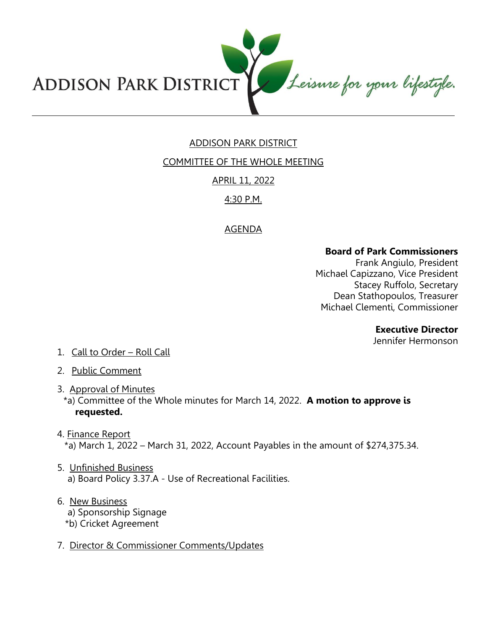

# ADDISON PARK DISTRICT

COMMITTEE OF THE WHOLE MEETING

### APRIL 11, 2022

4:30 P.M.

## AGENDA

### **Board of Park Commissioners**

Frank Angiulo, President Michael Capizzano, Vice President Stacey Ruffolo, Secretary Dean Stathopoulos, Treasurer Michael Clementi, Commissioner

#### **Executive Director**

Jennifer Hermonson

- 1. Call to Order Roll Call
- 2. Public Comment

### 3. Approval of Minutes

- \*a) Committee of the Whole minutes for March 14, 2022. **A motion to approve is requested.**
- 4. Finance Report \*a) March 1, 2022 – March 31, 2022, Account Payables in the amount of \$274,375.34.
- 5. Unfinished Business a) Board Policy 3.37.A - Use of Recreational Facilities.
- 6. New Business a) Sponsorship Signage \*b) Cricket Agreement
- 7. Director & Commissioner Comments/Updates